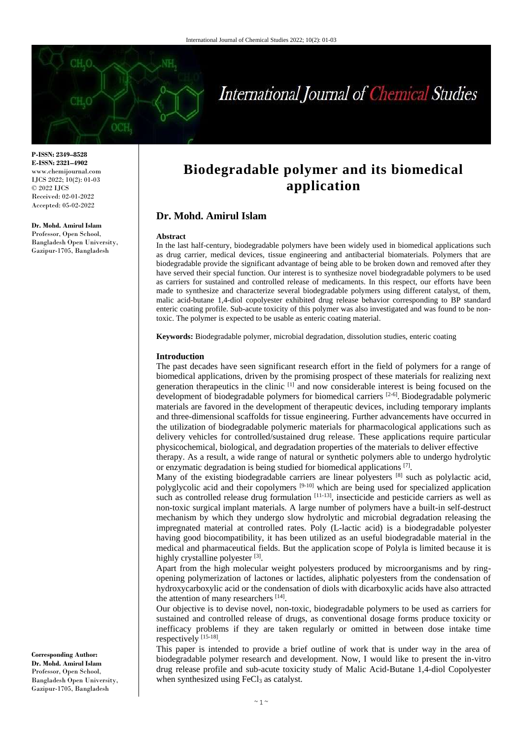

**P-ISSN: 2349–8528 E-ISSN: 2321–4902** www.chemijournal.com IJCS 2022; 10(2): 01-03 © 2022 IJCS Received: 02-01-2022 Accepted: 05-02-2022

### **Dr. Mohd. Amirul Islam** Professor, Open School,

Bangladesh Open University, Gazipur-1705, Bangladesh

# **Biodegradable polymer and its biomedical application**

# **Dr. Mohd. Amirul Islam**

#### **Abstract**

In the last half-century, biodegradable polymers have been widely used in biomedical applications such as drug carrier, medical devices, tissue engineering and antibacterial biomaterials. Polymers that are biodegradable provide the significant advantage of being able to be broken down and removed after they have served their special function. Our interest is to synthesize novel biodegradable polymers to be used as carriers for sustained and controlled release of medicaments. In this respect, our efforts have been made to synthesize and characterize several biodegradable polymers using different catalyst, of them, malic acid-butane 1,4-diol copolyester exhibited drug release behavior corresponding to BP standard enteric coating profile. Sub-acute toxicity of this polymer was also investigated and was found to be nontoxic. The polymer is expected to be usable as enteric coating material.

**Keywords:** Biodegradable polymer, microbial degradation, dissolution studies, enteric coating

#### **Introduction**

The past decades have seen significant research effort in the field of polymers for a range of biomedical applications, driven by the promising prospect of these materials for realizing next generation therapeutics in the clinic  $[1]$  and now considerable interest is being focused on the development of biodegradable polymers for biomedical carriers <sup>[2-6]</sup>. Biodegradable polymeric materials are favored in the development of therapeutic devices, including temporary implants and three-dimensional scaffolds for tissue engineering. Further advancements have occurred in the utilization of biodegradable polymeric materials for pharmacological applications such as delivery vehicles for controlled/sustained drug release. These applications require particular physicochemical, biological, and degradation properties of the materials to deliver effective

therapy. As a result, a wide range of natural or synthetic polymers able to undergo hydrolytic or enzymatic degradation is being studied for biomedical applications [7].

Many of the existing biodegradable carriers are linear polyesters <sup>[8]</sup> such as polylactic acid, polyglycolic acid and their copolymers [9-10] which are being used for specialized application such as controlled release drug formulation  $[11-13]$ , insecticide and pesticide carriers as well as non-toxic surgical implant materials. A large number of polymers have a built-in self-destruct mechanism by which they undergo slow hydrolytic and microbial degradation releasing the impregnated material at controlled rates. Poly (L-lactic acid) is a biodegradable polyester having good biocompatibility, it has been utilized as an useful biodegradable material in the medical and pharmaceutical fields. But the application scope of Polyla is limited because it is highly crystalline polyester [3].

Apart from the high molecular weight polyesters produced by microorganisms and by ringopening polymerization of lactones or lactides, aliphatic polyesters from the condensation of hydroxycarboxylic acid or the condensation of diols with dicarboxylic acids have also attracted the attention of many researchers [14].

Our objective is to devise novel, non-toxic, biodegradable polymers to be used as carriers for sustained and controlled release of drugs, as conventional dosage forms produce toxicity or inefficacy problems if they are taken regularly or omitted in between dose intake time respectively [15-18].

This paper is intended to provide a brief outline of work that is under way in the area of biodegradable polymer research and development. Now, I would like to present the in-vitro drug release profile and sub-acute toxicity study of Malic Acid-Butane 1,4-diol Copolyester when synthesized using FeCl<sub>3</sub> as catalyst.

**Corresponding Author: Dr. Mohd. Amirul Islam** Professor, Open School, Bangladesh Open University, Gazipur-1705, Bangladesh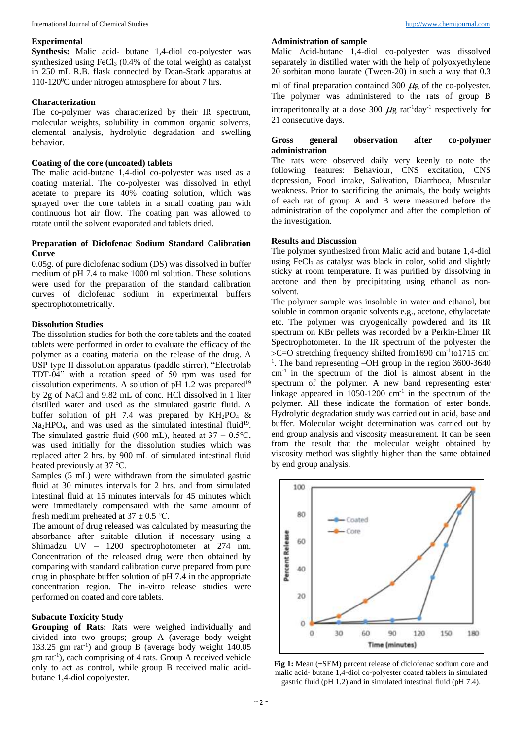## **Experimental**

**Synthesis:** Malic acid- butane 1,4-diol co-polyester was synthesized using FeCl<sup>3</sup> (0.4% of the total weight) as catalyst in 250 mL R.B. flask connected by Dean-Stark apparatus at 110-120<sup>0</sup>C under nitrogen atmosphere for about 7 hrs.

## **Characterization**

The co-polymer was characterized by their IR spectrum, molecular weights, solubility in common organic solvents, elemental analysis, hydrolytic degradation and swelling behavior.

## **Coating of the core (uncoated) tablets**

The malic acid-butane 1,4-diol co-polyester was used as a coating material. The co-polyester was dissolved in ethyl acetate to prepare its 40% coating solution, which was sprayed over the core tablets in a small coating pan with continuous hot air flow. The coating pan was allowed to rotate until the solvent evaporated and tablets dried.

## **Preparation of Diclofenac Sodium Standard Calibration Curve**

0.05g. of pure diclofenac sodium (DS) was dissolved in buffer medium of pH 7.4 to make 1000 ml solution. These solutions were used for the preparation of the standard calibration curves of diclofenac sodium in experimental buffers spectrophotometrically.

## **Dissolution Studies**

The dissolution studies for both the core tablets and the coated tablets were performed in order to evaluate the efficacy of the polymer as a coating material on the release of the drug. A USP type II dissolution apparatus (paddle stirrer), "Electrolab TDT-04" with a rotation speed of 50 rpm was used for dissolution experiments. A solution of pH  $1.2$  was prepared<sup>19</sup> by 2g of NaCl and 9.82 mL of conc. HCl dissolved in 1 liter distilled water and used as the simulated gastric fluid. A buffer solution of pH 7.4 was prepared by  $KH_2PO_4$  &  $Na<sub>2</sub>HPO<sub>4</sub>$ , and was used as the simulated intestinal fluid<sup>19</sup>. The simulated gastric fluid (900 mL), heated at  $37 \pm 0.5^{\circ}C$ , was used initially for the dissolution studies which was replaced after 2 hrs. by 900 mL of simulated intestinal fluid heated previously at 37 ℃.

Samples (5 mL) were withdrawn from the simulated gastric fluid at 30 minutes intervals for 2 hrs. and from simulated intestinal fluid at 15 minutes intervals for 45 minutes which were immediately compensated with the same amount of fresh medium preheated at  $37 \pm 0.5$  °C.

The amount of drug released was calculated by measuring the absorbance after suitable dilution if necessary using a Shimadzu UV – 1200 spectrophotometer at 274 nm. Concentration of the released drug were then obtained by comparing with standard calibration curve prepared from pure drug in phosphate buffer solution of pH 7.4 in the appropriate concentration region. The in-vitro release studies were performed on coated and core tablets.

## **Subacute Toxicity Study**

**Grouping of Rats:** Rats were weighed individually and divided into two groups; group A (average body weight 133.25 gm rat-1 ) and group B (average body weight 140.05 gm rat-1 ), each comprising of 4 rats. Group A received vehicle only to act as control, while group B received malic acidbutane 1,4-diol copolyester.

### **Administration of sample**

Malic Acid-butane 1,4-diol co-polyester was dissolved separately in distilled water with the help of polyoxyethylene 20 sorbitan mono laurate (Tween-20) in such a way that 0.3 ml of final preparation contained 300  $\mu$ g of the co-polyester. The polymer was administered to the rats of group B intraperitoneally at a dose 300  $\mu$ g rat<sup>-1</sup>day<sup>-1</sup> respectively for 21 consecutive days.

## **Gross general observation after co-polymer administration**

The rats were observed daily very keenly to note the following features: Behaviour, CNS excitation, CNS depression, Food intake, Salivation, Diarrhoea, Muscular weakness. Prior to sacrificing the animals, the body weights of each rat of group A and B were measured before the administration of the copolymer and after the completion of the investigation.

### **Results and Discussion**

The polymer synthesized from Malic acid and butane 1,4-diol using FeCl<sub>3</sub> as catalyst was black in color, solid and slightly sticky at room temperature. It was purified by dissolving in acetone and then by precipitating using ethanol as nonsolvent.

The polymer sample was insoluble in water and ethanol, but soluble in common organic solvents e.g., acetone, ethylacetate etc. The polymer was cryogenically powdered and its IR spectrum on KBr pellets was recorded by a Perkin-Elmer IR Spectrophotometer. In the IR spectrum of the polyester the >C=O stretching frequency shifted from1690 cm<sup>-1</sup>to1715 cm <sup>1</sup>. The band representing -OH group in the region 3600-3640 cm-1 in the spectrum of the diol is almost absent in the spectrum of the polymer. A new band representing ester linkage appeared in  $1050-1200$  cm<sup>-1</sup> in the spectrum of the polymer. All these indicate the formation of ester bonds. Hydrolytic degradation study was carried out in acid, base and buffer. Molecular weight determination was carried out by end group analysis and viscosity measurement. It can be seen from the result that the molecular weight obtained by viscosity method was slightly higher than the same obtained by end group analysis.



**Fig 1:** Mean (±SEM) percent release of diclofenac sodium core and malic acid- butane 1,4-diol co-polyester coated tablets in simulated gastric fluid (pH 1.2) and in simulated intestinal fluid (pH 7.4).